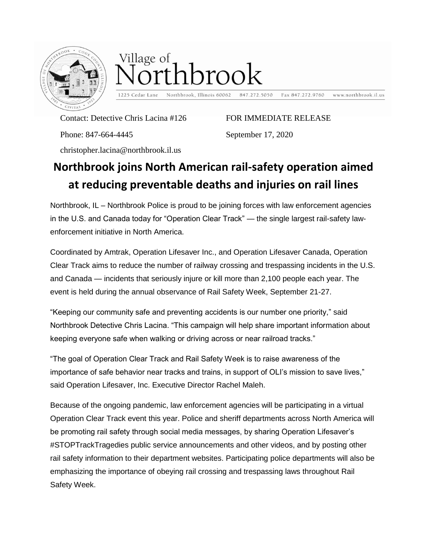

## Village of rthbrook

1225 Cedar Lane Northbrook, Illinois 60062 Fax 847.272.9760 www.northbrook.il.us

Contact: Detective Chris Lacina #126

Phone: 847-664-4445

FOR IMMEDIATE RELEASE

September 17, 2020

847.272.5050

christopher.lacina@northbrook.il.us

## **Northbrook joins North American rail-safety operation aimed at reducing preventable deaths and injuries on rail lines**

Northbrook, IL – Northbrook Police is proud to be joining forces with law enforcement agencies in the U.S. and Canada today for "Operation Clear Track" — the single largest rail-safety lawenforcement initiative in North America.

Coordinated by Amtrak, Operation Lifesaver Inc., and Operation Lifesaver Canada, Operation Clear Track aims to reduce the number of railway crossing and trespassing incidents in the U.S. and Canada — incidents that seriously injure or kill more than 2,100 people each year. The event is held during the annual observance of Rail Safety Week, September 21-27.

"Keeping our community safe and preventing accidents is our number one priority," said Northbrook Detective Chris Lacina. "This campaign will help share important information about keeping everyone safe when walking or driving across or near railroad tracks."

"The goal of Operation Clear Track and Rail Safety Week is to raise awareness of the importance of safe behavior near tracks and trains, in support of OLI's mission to save lives," said Operation Lifesaver, Inc. Executive Director Rachel Maleh.

Because of the ongoing pandemic, law enforcement agencies will be participating in a virtual Operation Clear Track event this year. Police and sheriff departments across North America will be promoting rail safety through social media messages, by sharing Operation Lifesaver's #STOPTrackTragedies public service announcements and other videos, and by posting other rail safety information to their department websites. Participating police departments will also be emphasizing the importance of obeying rail crossing and trespassing laws throughout Rail Safety Week.